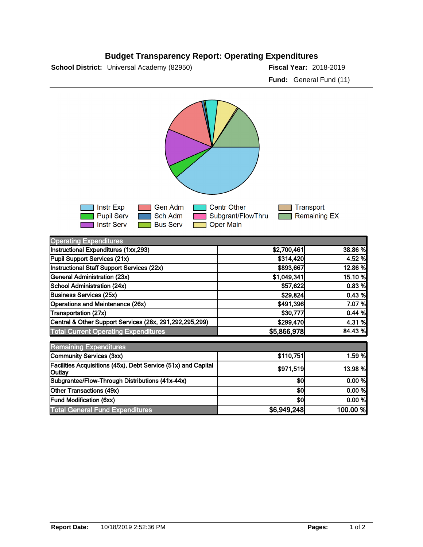## **Budget Transparency Report: Operating Expenditures**

**School District:** Universal Academy (82950) **2018-2019 Fiscal Year:** 2018-2019

**Fund:** General Fund (11)



| <b>Operating Expenditures</b>                                           |             |          |
|-------------------------------------------------------------------------|-------------|----------|
| Instructional Expenditures (1xx,293)                                    | \$2,700,461 | 38.86 %  |
| Pupil Support Services (21x)                                            | \$314,420   | 4.52 %   |
| Instructional Staff Support Services (22x)                              | \$893,667   | 12.86 %  |
| General Administration (23x)                                            | \$1,049,341 | 15.10 %  |
| School Administration (24x)                                             | \$57,622    | 0.83%    |
| <b>Business Services (25x)</b>                                          | \$29,824    | 0.43%    |
| Operations and Maintenance (26x)                                        | \$491,396   | 7.07 %   |
| Transportation (27x)                                                    | \$30,777    | 0.44%    |
| Central & Other Support Services (28x, 291,292,295,299)                 | \$299,470   | 4.31 %   |
| <b>Total Current Operating Expenditures</b>                             | \$5,866,978 | 84.43 %  |
| <b>Remaining Expenditures</b>                                           |             |          |
| Community Services (3xx)                                                | \$110,751   | 1.59 %   |
| Facilities Acquisitions (45x), Debt Service (51x) and Capital<br>Outlay | \$971,519   | 13.98 %  |
| Subgrantee/Flow-Through Distributions (41x-44x)                         | \$0         | 0.00 %   |
| Other Transactions (49x)                                                | \$0         | 0.00 %   |
| <b>Fund Modification (6xx)</b>                                          | \$0         | 0.00 %   |
| <b>Total General Fund Expenditures</b>                                  | \$6,949,248 | 100.00 % |